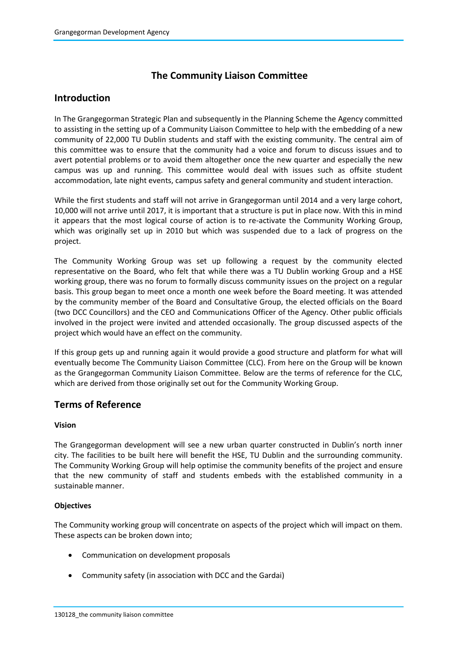# **The Community Liaison Committee**

# **Introduction**

In The Grangegorman Strategic Plan and subsequently in the Planning Scheme the Agency committed to assisting in the setting up of a Community Liaison Committee to help with the embedding of a new community of 22,000 TU Dublin students and staff with the existing community. The central aim of this committee was to ensure that the community had a voice and forum to discuss issues and to avert potential problems or to avoid them altogether once the new quarter and especially the new campus was up and running. This committee would deal with issues such as offsite student accommodation, late night events, campus safety and general community and student interaction.

While the first students and staff will not arrive in Grangegorman until 2014 and a very large cohort, 10,000 will not arrive until 2017, it is important that a structure is put in place now. With this in mind it appears that the most logical course of action is to re-activate the Community Working Group, which was originally set up in 2010 but which was suspended due to a lack of progress on the project.

The Community Working Group was set up following a request by the community elected representative on the Board, who felt that while there was a TU Dublin working Group and a HSE working group, there was no forum to formally discuss community issues on the project on a regular basis. This group began to meet once a month one week before the Board meeting. It was attended by the community member of the Board and Consultative Group, the elected officials on the Board (two DCC Councillors) and the CEO and Communications Officer of the Agency. Other public officials involved in the project were invited and attended occasionally. The group discussed aspects of the project which would have an effect on the community.

If this group gets up and running again it would provide a good structure and platform for what will eventually become The Community Liaison Committee (CLC). From here on the Group will be known as the Grangegorman Community Liaison Committee. Below are the terms of reference for the CLC, which are derived from those originally set out for the Community Working Group.

## **Terms of Reference**

## **Vision**

The Grangegorman development will see a new urban quarter constructed in Dublin's north inner city. The facilities to be built here will benefit the HSE, TU Dublin and the surrounding community. The Community Working Group will help optimise the community benefits of the project and ensure that the new community of staff and students embeds with the established community in a sustainable manner.

## **Objectives**

The Community working group will concentrate on aspects of the project which will impact on them. These aspects can be broken down into;

- Communication on development proposals
- Community safety (in association with DCC and the Gardai)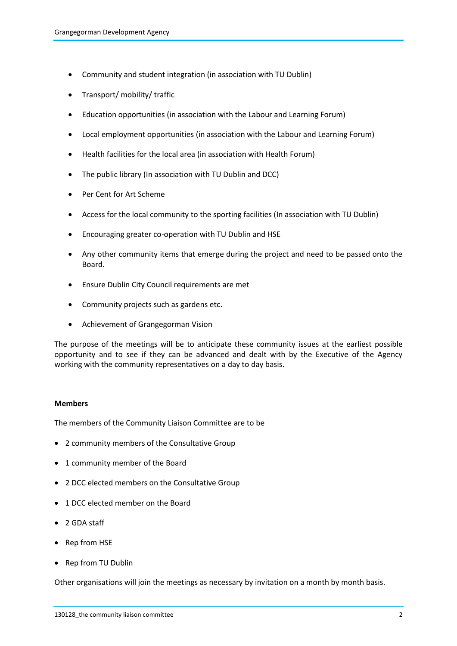- Community and student integration (in association with TU Dublin)
- Transport/ mobility/ traffic
- Education opportunities (in association with the Labour and Learning Forum)
- Local employment opportunities (in association with the Labour and Learning Forum)
- Health facilities for the local area (in association with Health Forum)
- The public library (In association with TU Dublin and DCC)
- Per Cent for Art Scheme
- Access for the local community to the sporting facilities (In association with TU Dublin)
- Encouraging greater co-operation with TU Dublin and HSE
- Any other community items that emerge during the project and need to be passed onto the Board.
- Ensure Dublin City Council requirements are met
- Community projects such as gardens etc.
- Achievement of Grangegorman Vision

The purpose of the meetings will be to anticipate these community issues at the earliest possible opportunity and to see if they can be advanced and dealt with by the Executive of the Agency working with the community representatives on a day to day basis.

## **Members**

The members of the Community Liaison Committee are to be

- 2 community members of the Consultative Group
- 1 community member of the Board
- 2 DCC elected members on the Consultative Group
- 1 DCC elected member on the Board
- 2 GDA staff
- Rep from HSE
- Rep from TU Dublin

Other organisations will join the meetings as necessary by invitation on a month by month basis.